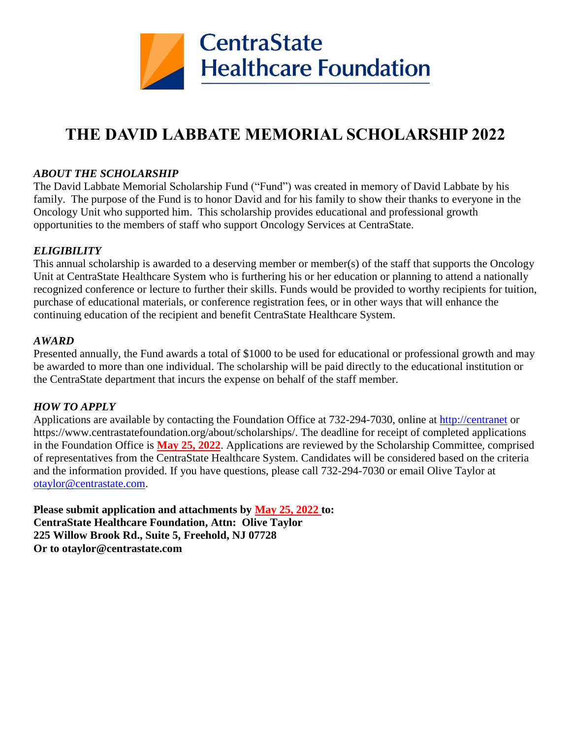

# **THE DAVID LABBATE MEMORIAL SCHOLARSHIP 2022**

#### *ABOUT THE SCHOLARSHIP*

The David Labbate Memorial Scholarship Fund ("Fund") was created in memory of David Labbate by his family. The purpose of the Fund is to honor David and for his family to show their thanks to everyone in the Oncology Unit who supported him. This scholarship provides educational and professional growth opportunities to the members of staff who support Oncology Services at CentraState.

#### *ELIGIBILITY*

This annual scholarship is awarded to a deserving member or member(s) of the staff that supports the Oncology Unit at CentraState Healthcare System who is furthering his or her education or planning to attend a nationally recognized conference or lecture to further their skills. Funds would be provided to worthy recipients for tuition, purchase of educational materials, or conference registration fees, or in other ways that will enhance the continuing education of the recipient and benefit CentraState Healthcare System.

#### *AWARD*

Presented annually, the Fund awards a total of \$1000 to be used for educational or professional growth and may be awarded to more than one individual. The scholarship will be paid directly to the educational institution or the CentraState department that incurs the expense on behalf of the staff member.

#### *HOW TO APPLY*

Applications are available by contacting the Foundation Office at 732-294-7030, online at [http://centranet](http://centranet/) or https://www.centrastatefoundation.org/about/scholarships/. The deadline for receipt of completed applications in the Foundation Office is **May 25, 2022**. Applications are reviewed by the Scholarship Committee, comprised of representatives from the CentraState Healthcare System. Candidates will be considered based on the criteria and the information provided. If you have questions, please call 732-294-7030 or email Olive Taylor at [otaylor@centrastate.com.](mailto:otaylor@centrastate.com)

**Please submit application and attachments by May 25, 2022 to: CentraState Healthcare Foundation, Attn: Olive Taylor 225 Willow Brook Rd., Suite 5, Freehold, NJ 07728 Or to otaylor@centrastate.com**